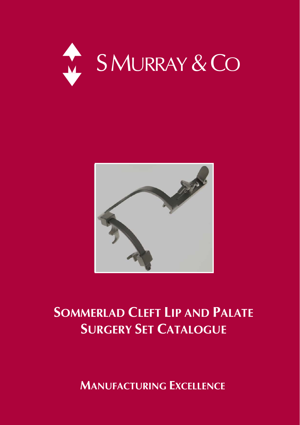



# **SOMMERLAD CLEFT LIP AND PALATE SURGERY SET CATALOGUE**

 **MANUFACTURING EXCELLENCE**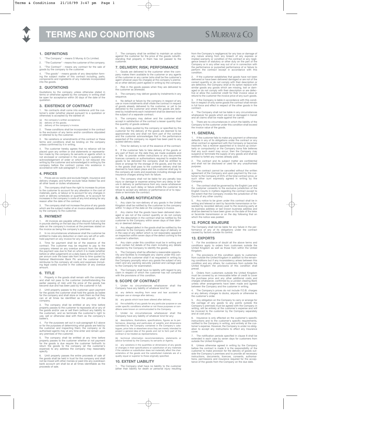

# **TERMS AND CONDITIONS**

# **S MURRAY & CO**

#### **1. DEFINITIONS**

- 1. "The Company" means S Murray & Co Limited.
- 2. "The Customer" means the customer of the company.
- "The Contract" means any contract for the sale of goods by the company to the customer.

4. "The goods" - means goods of any description form-ing the subject matter of this contract including, parts, components and ingredients of any materials incorporated into the goods.

#### **2. QUOTATIONS**

Quotations by the company unless otherwise stated in terms or otherwise agreed by the company in writing shall be open for acceptance within 30 days of the date of the quotation.

#### **3. EXISTENCE OF CONTRACT**

No contracts shall come into existence until the customer's order (whether placed pursuant to a quotation or otherwise) is accepted by the earliest of:

- 
- (a) the company's written acceptance; (b) delivery of the goods; (c) delivery of the company's invoice.

2. These conditions shall be incorporated in the contract

to the exclusion of any terms and/or conditions stipulated or referred to by the customer.

3. No variations or amendments of this contract or these terms and conditions shall be binding on the company unless confirmed by it in writing.

4. The customer hereby agrees that no reliance will be<br>placed upon any written or cral statements or representa-<br>tion made by the company its servants or agents which is<br>not enclosed or contained in the company's quotation

#### **4. PRICES**

1. Prices are ex-works and exclude freight, insurance and delivery charges; and further exclude Value Added Tax and all other taxes or duties whatsoever.

2. The company shall have the right to increase its prices<br>to the customer to account for any alteration in the cost of<br>materials, parts, or labour or to account for any changes in<br>work or delivery schedules or quantities, increases in the company's costs of any kind arising for any reason after the date of the contract.

3. The company shall not increase the price of any goods which are the subject matter of an invoice already delivered by the company to the customer.

#### **5. PAYMENT**

1. All invoices are payable without discount of any kind in pounds sterling on the last day of the month following the date on the company's invoices at the premises stated on the invoice as being the company's premises.

2. In no circumstances whatsoever shall the customer be entitled to make any deduction or claim any set-off or with-hold payment on any invoice for any reason at all.

3. Time for payment shall be of the essence of the<br>contract. The customer may be required to pay to the<br>company interest on any overdue amount from the dates<br>the payment was due to that on which it is made (whether<br>before reimburse to the company all costs and expenses (includ-ing legal costs) incurred in the collection of any overdue amount.

#### **6. TITLE**

1. Property in the goods shall remain with the company and shall not pass to the customer (notwithstanding the earlier passing of risk) until the price of the goods has become due and has been paid by the customer in full.

2. Until property passes to the customer upon payment for the goods the customer shall hold the goods as bailee for the company and shall store or mark them so that they can at all times be identified as the property of the can company.

3. The company shall be entitled at any time before<br>property passes to the customer to repossess all or any of<br>the goods and/or use or sell them (without any liability to<br>the customer), and so terminate the customer's righ use, sell or otherwise deal with them as the company's bailee's.

For the purposes set out in sub-paragraph 6.3 above or for the purposes of determining what goods are held by the customer and inspecting them; the company or its authorised agents may at any time enter and remain upon any premises of the customer.

5. The company shall be entitled at any time before<br>property passes to the customer whether or not payment<br>for the goods is due require the customer forthwith to<br>return the goods to the company (at the customer's<br>expense) specify.

6. Until property passes the entire proceeds of sale of<br>the goods shall be held in trust for the company and shall<br>not be mixed with other monies or paid into any overdrawn<br>bank account ant shall be at all times identifiab proceeds of sale.

7. The company shall be entitled to maintain an action against the customer for the price of the goods notwith-standing that property in them has not passed to the customer.

### **7. DELIVERY; RISK; PERFORMANCE**

1. Goods are delivered to the customer when the company makes them available to the customer or any agents of the customer or any carrier (who shall be the customer's agent whoever pays his charges) at the company's premis-es or other delivery point agreed in writing by the company.

2. Risk in the goods passes when they are delivered to the customer as aforesaid.

3. The company may deliver goods by instalments in any sequence.

4. No default or failure by the company in respect of any use or more installments shall vitiate the contract in respect of goods already delivered to the customer, or yet to be delivered to the customer and where the goods are delivered by installments each instalment shall be deemed to be the subject of a separate contract.

5. The company may deliver and the customer shall accept in satisfaction of the contract a lesser quantity than the quantity of goods ordered.

Any dates quoted by the company or specified by the customer for the delivery of the goods are deemed to be<br>approximate only and shall not form part of the contract<br>and the customer acknowledges that in the performance<br>expected of the company no regard has been paid to any<br>

7. Time for delivery is not of the essence of the contract.

8. If the customer fails to take delivery of the goods or<br>any part of them on the date they are made available and<br>or fails to provide written instructions or any documents<br>licences consents or authorisations required to e in the goods shall pass to the customer delivery shall be deemed to have taken place and the customer shall pay to the company all costs and expenses including storage and insurance charges arising from its failure.

9. The company shall not be liable for any penalty loss injury or damage or expense arising from any delay or fail-<br>ure in delivery or performance from any cause whatsoever<br>nor shall any such delay or failure entitle the customer to<br>refuse to accept any delivery or performance

#### **8. CLAIMS NOTIFICATION**

1. Any claim for non-delivery of any goods in the United Kingdom shall be notified by the customer to the company within 14 days of the date on the company's invoice.

Any claims that the goods have been delivered damaged or are not of the correct quantity or do not comply with the description in the contract shall be notified by the customer to the Company within seven days of their deliv-ery or deemed delivery.

3. Any alleged defect in the goods shall be notified by the<br>customer to the Company within seven days of delivery or<br>in the case of any defect which is not reasonably apparent<br>on inspection within seven days of the defect customer's attention.

Any claim under this condition must be in writing and must contain full details of the claim including any details required by the Company to identify the goods.

5. The Company shall be afforded a reasonable opportunity and facilities to investigate any claims under this condition and the customer shall if so requested in writing by the Company promptly return any goods the subject to the Company for examination.

6. The Company shall have no liability with regard to any claim in respect of which the customer has not complied with the provisions of this condition.

#### **9. SCOPE OF CONTRACT**

1. Under no circumstances whatsoever shall the Company have any liability of whatever kind for:

(a) any defects resulting from wear and tear accident or improper use or storage after delivery;

(b) any goods which have been altered after delivery:

(c) the suitability of any goods for any particular purpose or use under specific conditions whether or not those purposes or con-ditions were known or communicated to the Company.

2. Under no circumstances whatsoever shall the Company have any liability of whatever kind for any:

(a) descriptions, illustrations, specifications, figures as to performance, drawings and particulars of weights and dimensions submitted by the Company contained in the Company's catalogues, price lists or elsewhere since project a general idea of the goods and not to form part of the contract or be treated as representations;

(b) technical information recommendations, statements or advice furnished by the Company its servants or Agents;

(c) any variations in the quantities or dimensions of any goods or changes in their specifications or substitution of any materials<br>if the variation or substitution does not materially affect the characteristics of the goods and the substituted materials are of a<br>quality equal or super

#### **10. EXTENT LIABILITY**

1. The Company shall have no liability to the customer (other than liability for death or personal injury resulting

from the Company's negligence) for any loss or damage of<br>any nature arising from any breach of any express or<br>limplied warranty or condition of the contract or any negli-<br>gence breach of statutory or other duty on the part perform the contract except in accordance with this condition.

2. If the customer establishes that goods have not been<br>delivered or have been delivered damaged or are not of the<br>correct quantity or do not comply with their description or<br>are defective, the Company shall at its option

3. If the Company is liable in accordance with this condi-tion in respect of only some goods the contract shall remain in full force and effect in respect of the other goods in the contract.

4. The Company shall not be liable in any circumstances whatsoever for goods which are lost or damaged in transit and all claims shall be made against the carrier.

There are no circumstances in which the liability of the Company to the customer under this condition shall exceed the invoice value of the goods.

#### **11. GENERAL**

1. If the customer fails to make any payment or otherwise<br>defaults in any of its obligations under the contract or any<br>other contract or agreement with the Company or becomes<br>insolvent, has a receiver appointed or is wound

2. The contract and its subject matter are confidential and shall not be disclosed or used for any unauthorised purpose.

3. The contract cannot be cancelled without the written agreement of the Company and upon payment by the cus-tomer to the Company of 25% of the total contract price, or such other sum expressly agreed in writing by the such oure<br>Company.

The contract shall be governed by the English Law and the customer consents to the exclusive jurisdiction of the English Courts in matters regarding the contract except to the extent that the Company invokes the jurisdiction of the Courts of any other country.

5. Any notice to be given under this contract shall be in<br>writing and telexed or sent by facsimile transmission or for-<br>warded by recorded delivery post to the receiving party at<br>its business address or last known business

#### **12. FORCE MAJEURE**

The Company shall not be liable for any failure in the per-formance of any of its obligations under the contract caused by factors outside its control.

#### **13. EXPORTS**

For the avoidance of doubt all the above terms and conditions apply to orders from customers outside the United Kingdom as well as those from within the United Kingdom.

2. The provisions of this condition apply to customers<br>from outside the United Kingdom in addition to the remain-<br>ing conditions but if any inconsistency arises between this<br>condition and any others, for customers from out prevail.

3. Orders from customers outside the United Kingdom must be covered by an irrevocable letter of credit to cover the purchase price and any other additional costs and charges whatsoever, confirmed by a London clearing Bank unless other arrangements have been made and agreed between the Company and the customer in writing.

4. The Company's prices do not include F.O.B. charges or any delivery charges to docks, airports or otherwise to the customer's order.

5. Any obligation on the Company to carry or arrange for<br>the carriage of any goods to any points outside the<br>Company's premises must be agreed with the Company in<br>writing, will be entirely at the customer's expense and wil and at cost price.

6. Insurance is only effected on the customer's specific<br>instructions and to the customer's specific requirements,<br>notified to the Company in writing, and entirely at the cus-<br>tomer's expense. However, the Company is under

The notification periods specified in clause 8 shall be extended in each case by seven days for customers from outside the United Kingdom.

8. Unless otherwise agreed in writing by the Company<br>before the contract is made it is the responsibility of the<br>customer to make provision for the delivery of goods out-<br>side the Company's premises and to provide all nece tance of the goods from the Company on the due date.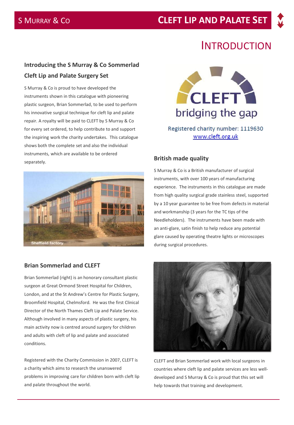# INTRODUCTION

# **Introducing the S Murray & Co Sommerlad Cleft Lip and Palate Surgery Set**

S Murray & Co is proud to have developed the instruments shown in this catalogue with pioneering plastic surgeon, Brian Sommerlad, to be used to perform his innovative surgical technique for cleft lip and palate repair. A royalty will be paid to CLEFT by S Murray & Co for every set ordered, to help contribute to and support the inspiring work the charity undertakes. This catalogue shows both the complete set and also the individual instruments, which are available to be ordered separately. **British made quality**



### **Brian Sommerlad and CLEFT**

Brian Sommerlad (right) is an honorary consultant plastic surgeon at Great Ormond Street Hospital for Children, London, and at the St Andrew's Centre for Plastic Surgery, Broomfield Hospital, Chelmsford. He was the first Clinical Director of the North Thames Cleft Lip and Palate Service. Although involved in many aspects of plastic surgery, his main activity now is centred around surgery for children and adults with cleft of lip and palate and associated conditions.

Registered with the Charity Commission in 2007, CLEFT is a charity which aims to research the unanswered problems in improving care for children born with cleft lip and palate throughout the world.



# Registered charity number: 1119630 www.cleft.org.uk

S Murray & Co is a British manufacturer of surgical instruments, with over 100 years of manufacturing experience. The instruments in this catalogue are made from high quality surgical grade stainless steel, supported by a 10 year guarantee to be free from defects in material and workmanship (3 years for the TC tips of the Needleholders). The instruments have been made with an anti-glare, satin finish to help reduce any potential glare caused by operating theatre lights or microscopes during surgical procedures.



CLEFT and Brian Sommerlad work with local surgeons in countries where cleft lip and palate services are less welldeveloped and S Murray & Co is proud that this set will help towards that training and development.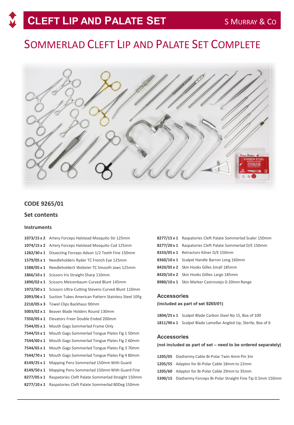# SOMMERLAD CLEFT LIP AND PALATE SET COMPLETE



### **CODE 9265/01**

### **Set contents**

### **Instruments**

| $1073/15 \times 2$ | Artery Forceps Halstead Mosquito Str 125mm          |  |
|--------------------|-----------------------------------------------------|--|
| $1074/15 \times 2$ | Artery Forceps Halstead Mosquito Cvd 125mm          |  |
| 1282/30 x 1        | Dissecting Forceps Adson 1/2 Teeth Fine 150mm       |  |
| 1579/05 x 1        | Needleholders Ryder TC French Eye 125mm             |  |
| 1588/05 x 1        | NeedleholderS Webster TC Smooth Jaws 125mm          |  |
| 1866/10 x 1        | Scissors Iris Straight Sharp 110mm                  |  |
| 1890/02 x 1        | Scissors Metzenbaum Curved Blunt 145mm              |  |
| 1972/50 x 1        | Scissors Ultra-Cutting Stevens Curved Blunt 110mm   |  |
| 2093/06 x 1        | Suction Tubes American Pattern Stainless Steel 10Fg |  |
| 2210/05 x 3        | Towel Clips Backhaus 90mm                           |  |
| 5003/02 x 1        | Beaver Blade Holders Round 130mm                    |  |
| 7350/05 x 1        | Elevators Freer Double Ended 200mm                  |  |
| 7544/05 x 1        | Mouth Gags Sommerlad Frame Only                     |  |
| 7544/55 x 1        | Mouth Gags Sommerlad Tongue Plates Fig 1 50mm       |  |
| 7544/60 x 1        | Mouth Gags Sommerlad Tongue Plates Fig 2 60mm       |  |
| 7544/65 x 1        | Mouth Gags Sommerlad Tongue Plates Fig 3 70mm       |  |
| 7544/70 x 1        | Mouth Gags Sommerlad Tongue Plates Fig 4 80mm       |  |
| 8149/25 x 1        | Mapping Pens Sommerlad 150mm With Guard             |  |
| 8149/50 x 1        | Mapping Pens Sommerlad 150mm With Guard Fine        |  |
| 8277/05 x 1        | Raspatories Cleft Palate Sommerlad Straight 150mm   |  |
| 8277/10 x 1        | Raspatories Cleft Palate Sommerlad 80Deg 150mm      |  |

| 8277/15 x 1 Raspatories Cleft Palate Sommerlad Scaler 150mm |  |
|-------------------------------------------------------------|--|
| 8277/20 x 1 Raspatories Cleft Palate Sommerlad D/E 150mm    |  |
| 8333/05 x 1 Retractors Kilner D/E 150mm                     |  |
| 8360/10 x 1 Scalpel Handle Barron Long 160mm                |  |
| 8420/05 x 2 Skin Hooks Gilles Small 185mm                   |  |
| 8420/10 x 2 Skin Hooks Gillies Large 185mm                  |  |
| 8980/10 x 1 Skin Marker Castroviejo 0-20mm Range            |  |

### **Accessories**

### **(included as part of set 9265/01)**

**1804/25 x 1** Scalpel Blade Carbon Steel No 15, Box of 100 **1811/90 x 1** Scalpel Blade Lamellar Angled Up, Sterile, Box of 6

### **Accessories**

### **(not included as part of set – need to be ordered separately)**

| 1205/05 Diathermy Cable Bi-Polar Twin 4mm Pin 3m                 |
|------------------------------------------------------------------|
| 1205/55 Adaptor for Bi-Polar Cable 18mm to 22mm                  |
| 1205/60 Adaptor for Bi-Polar Cable 29mm to 35mm                  |
| 5390/15 Diathermy Forceps Bi-Polar Straight Fine Tip 0.5mm 150mm |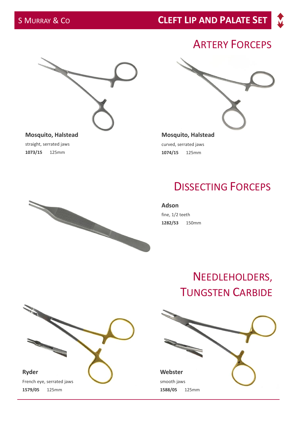# S MURRAY & CO **CLEFT LIP AND PALATE SET**

# ARTERY FORCEPS



straight, serrated jaws **1073/15** 125mm

**Mosquito, Halstead** curved, serrated jaws **1074/15** 125mm

# DISSECTING FORCEPS

**Adson** fine, 1/2 teeth **1282/53** 150mm

# NEEDLEHOLDERS, TUNGSTEN CARBIDE





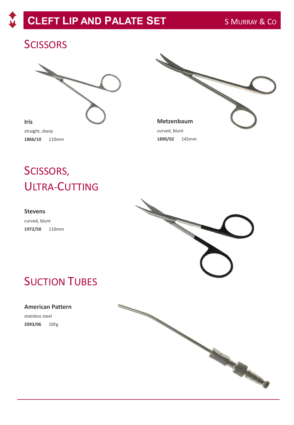# **CLEFT LIP AND PALATE SET** S MURRAY & CO

# **SCISSORS**





SCISSORS, ULTRA-CUTTING

### **Stevens**

curved, blunt **1972/50** 110mm



# **SUCTION TUBES**

### **American Pattern**

stainless steel **2093/06** 10Fg

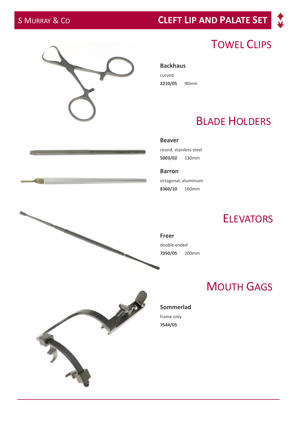**Service Service** 

# S MURRAY & CO **CLEFT LIP AND PALATE SET**

# TOWEL CLIPS

**Backhaus**  curved **2210/05** 90mm

# BLADE HOLDERS

**Beaver**

round, stainless steel **5003/02** 130mm

**Barron** octagonal, aluminium **8360/10** 160mm

# **ELEVATORS**

**Freer**  double ended **7350/05** 200mm

# MOUTH GAGS

### **Sommerlad**

frame only **7544/05**





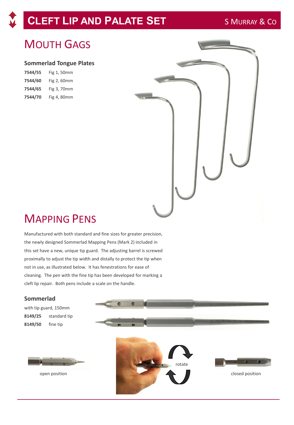# **CLEFT LIP AND PALATE SET** S MURRAY & CO

# MOUTH GAGS

### **Sommerlad Tongue Plates**

| 7544/55 | Fig 1, 50mm |
|---------|-------------|
| 7544/60 | Fig 2, 60mm |
| 7544/65 | Fig 3, 70mm |
| 7544/70 | Fig 4, 80mm |



# MAPPING PENS

Manufactured with both standard and fine sizes for greater precision, the newly designed Sommerlad Mapping Pens (Mark 2) included in this set have a new, unique tip guard. The adjusting barrel is screwed proximally to adjust the tip width and distally to protect the tip when not in use, as illustrated below. It has fenestrations for ease of cleaning. The pen with the fine tip has been developed for marking a cleft lip repair. Both pens include a scale on the handle.

### **Sommerlad**

with tip guard, 150mm **8149/25** standard tip **8149/50** fine tip

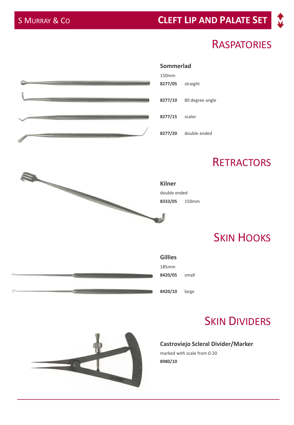# S MURRAY & CO **CLEFT LIP AND PALATE SET**

# **RASPATORIES**





# **SKIN DIVIDERS**

## **Castroviejo Scleral Divider/Marker**

marked with scale from 0-20 **8980/10**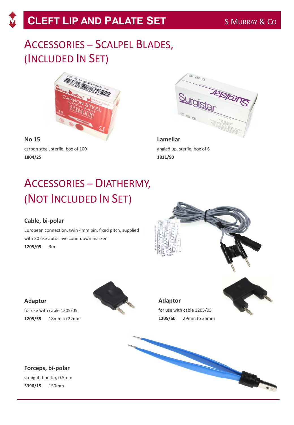# ACCESSORIES – SCALPEL BLADES, (INCLUDED IN SET)



**No 15**  carbon steel, sterile, box of 100 **1804/25**



**Lamellar**  angled up, sterile, box of 6 **1811/90**

# ACCESSORIES – DIATHERMY, (NOT INCLUDED IN SET)

# **Cable, bi-polar**

European connection, twin 4mm pin, fixed pitch, supplied with 50 use autoclave countdown marker **1205/05** 3m



## **Adaptor**

for use with cable 1205/05 **1205/55** 18mm to 22mm



# **Adaptor**

for use with cable 1205/05 **1205/60** 29mm to 35mm

# **Forceps, bi-polar**

straight, fine tip, 0.5mm **5390/15** 150mm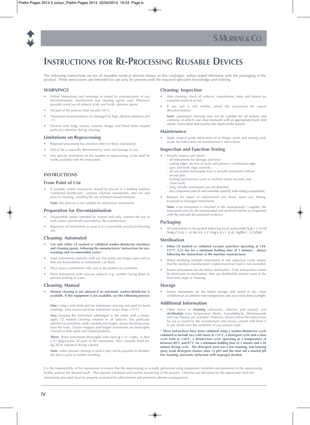



# **INSTRUCTIONS FOR RE-PROCESSING REUSABLE DEVICES**

The following instructions are for all reusable medical devices shown in this catalogue, unless stated otherwise with the packaging of the product. These instructions are intended for use only by persons with the required specialist knowledge and training.

### **WARNINGS**

- Follow instructions and warnings as issued by manufacturers of any decontaminents, disinfectants and cleaning agents used. Wherever possible avoid use of mineral acids and harsh, abrasive agents.
- No part of the process shall exceed 140°C.
- Aluminium based products are damaged by high alkaline solutions (pH  $>1$ ).
- Devices with long, narrow cannula, hinges and blind holes require particular attention during cleaning.

#### **Limitations on Reprocessing**

- Repeated processing has minimal effect on these instruments.
- End of life is normally determined by wear and damage in use.
- Any specific limitations on the number of reprocessing cycles shall be made available with the instrument.

### **INSTRUCTIONS**

#### **From Point of Use**

If possible, soiled instruments should be placed in a holding solution (combined disinfectant / enzyme solution) immediately after use and prior to cleaning, avoiding the use of bleach-based solutions.

**Note:** this process is not suitable for aluminium instruments.

#### **Preparation for Decontamination**

- Disassemble where intended by trained staff only, without the use of tools unless specifically provided by the manufacturer.
- Reprocess all instruments as soon as it is reasonably practical following use.

#### **Cleaning: Automated**

- **Use only either CE marked or validated washer-disinfector machines and cleaning agents, following the manufacturers' instructions for use, warnings and recommended cycles.\***
- Load instruments carefully, with any box joints and hinges open and so that any fenestrations in instruments can drain.
- Place heavy instruments with care in the bottom of containers.
- Place instruments with concave surfaces (e.g. curettes) facing down to prevent pooling of water.

#### **Cleaning: Manual**

• **Manual cleaning is not advised if an automatic washer-disinfector is available. If this equipment is not available, use the following process: -**

**One:** Using a sink dedicated for instrument cleaning (not used for hand washing), rinse excess soil from instrument (water temp <35°C).

**Two:** Keeping the instrument submerged in the water, with a brush, apply CE marked cleaning solution to all surfaces. Pay particular attention to serrations, teeth, ratchets and hinges, always brushing away from the body. Ensure rongeurs and hinged instruments are thoroughly cleaned in both open and closed positions.

**Three:** Rinse instruments thoroughly with clean gj cc^c\ water, so that i] Z l ViZg reaches all parts of the instrument, then carefully hand dry dg i hZ Vc industrial drving cabinet.

**Note:** when manual cleaning is used it may not be possible to disinfect the device prior to further handling.

#### **Cleaning: Inspection**

- After cleaning, check all surfaces, cannulations, holes and lumens for complete removal of soil.
- If any soil is still visible, return the instrument for repeat decontamination.

**Note:** automated cleaning may not be suitable for all lumens and cannulae, in which case clean manually with an appropriate brush (and stilette if provided) that reaches the depth of the feature.

#### **Maintenance**

• Apply surgical grade lubrication oil to hinges, joints and moving parts as per the lubrication oil manufacturer's instructions.

### **Inspection and Function Testing**

- Visually inspect and check:-
	- all instruments for damage and wear cutting edges are free of nicks and present a continuous edge
	- jaws and teeth align correctly
	- all articulated instruments have a smooth movement without
	- excess play locking mechanisms (such as ratchets) fasten securely and
	- close easily
	- long, slender instruments are not distorted
	- any component parts fit and assemble correctly with mating components.
- Remove for repair or replacement any blunt, worn out, flaking, fractured or damaged instruments.

**Note:** if an instrument is returned to the manufacturer / supplier, the instrument must be decontaminated and sterilised and be accompanied with the relevant documented evidence.

### **Packaging**

• All instruments to be packed following local protocol & Zchj g^c\ i] Z eVX` ^h aVg\Z Zcdj \] id XdciV^c i] Z ^chigj b Zci l ^i] dj i higZhh^c\ i] Z hZVah(

#### **Sterilisation**

- **Either CE marked or validated vacuum autoclave operating at 134- 137°C 2.25 bar for a minimum holding time of 3 minutes - always following the instructions of the machine manufacturer.**
- When sterilising multiple instruments in one autoclave cycle, ensure that the steriliser manufacturer's stated maximum load is not exceeded.
- Ensure instruments are dry before sterilisation. If the instruments cannot be dried prior to sterilisation, then use distilled/de-ionised water in the final-rinse stage of cleaning.

#### **Storage**

Ensure instruments are dry before storage, and stored in dry, clean conditions at an ambient room temperature and away from direct sunlight.

#### **Additional Information**

• Other forms of **cleaning** (ultrasonic, alkaline and neutral) and sterilisation (Low Temperature Steam, Formaldehyde, Ethyleneoxide and Gas Plasma) are available. However, always follow the instructions for use as issued by the manufacturer and always consult with them if in any doubt over the suitability of any process used.

**\* These instructions have been validated using a washer-disinfector cycle validated to include two cold rinses at <35°C, a detergent cycle and a rinse cycle both at >50°C, a disinfection cycle operating at a temperature of between 80°C and 87°C for a minimum holding time of 1 minute and a 20 minute drying cycle. The detergent used was a low foaming, non-ionising spray wash detergent cleaner (max 12 pH) and the rinse aid a neutral pH low foaming, non-ionic surfactant with isopropyl alcohol.**

It is the responsibility of the reprocessor to ensure that the reprocessing as actually performed using equipment, materials and personnel in the reprocessing facility achieve the desired result. This requires validation and routine monitoring of the process. Likewise any deviation by the reprocessor from the instructions provided must be properly evaluated for effectiveness and potential adverse consequences.